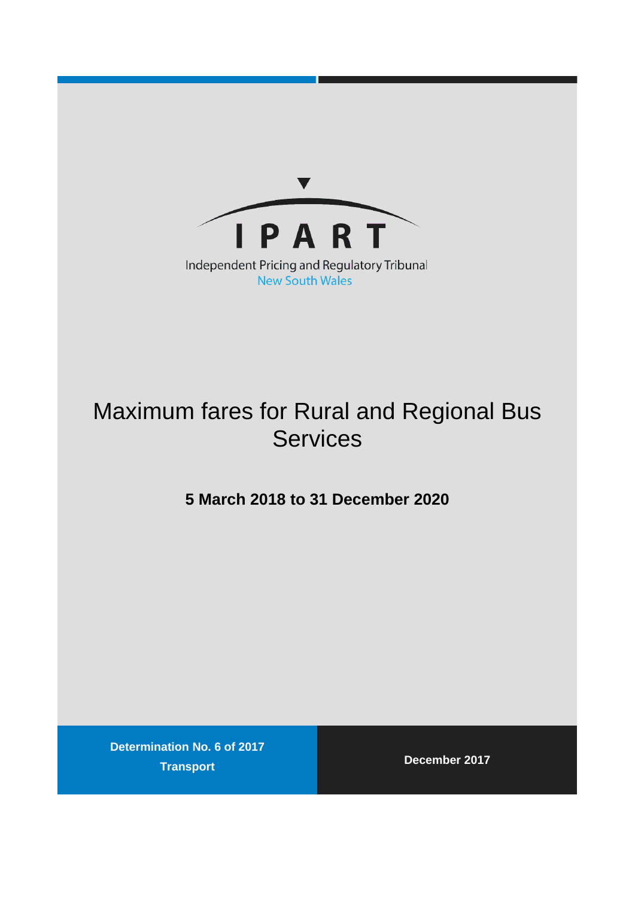

**New South Wales** 

# Maximum fares for Rural and Regional Bus **Services**

### **5 March 2018 to 31 December 2020**

**Determination No. 6 of 2017 Transport December 2017**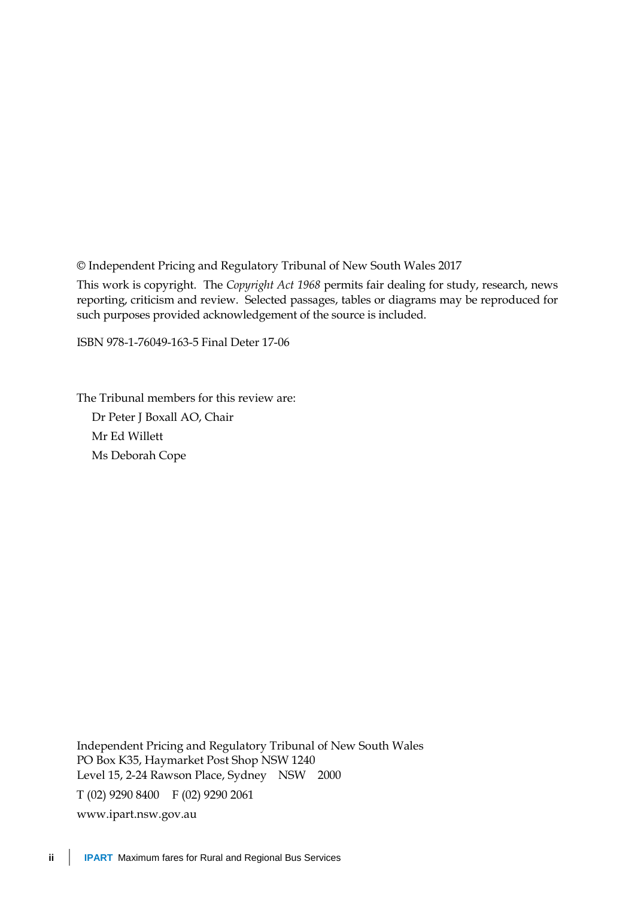© Independent Pricing and Regulatory Tribunal of New South Wales 2017

This work is copyright. The *Copyright Act 1968* permits fair dealing for study, research, news reporting, criticism and review. Selected passages, tables or diagrams may be reproduced for such purposes provided acknowledgement of the source is included.

ISBN 978-1-76049-163-5 Final Deter 17-06

The Tribunal members for this review are: Dr Peter J Boxall AO, Chair Mr Ed Willett Ms Deborah Cope

Independent Pricing and Regulatory Tribunal of New South Wales PO Box K35, Haymarket Post Shop NSW 1240 Level 15, 2-24 Rawson Place, Sydney NSW 2000 T (02) 9290 8400 F (02) 9290 2061 [www.ipart.nsw.gov.au](http://www.ipart.nsw.gov.au/)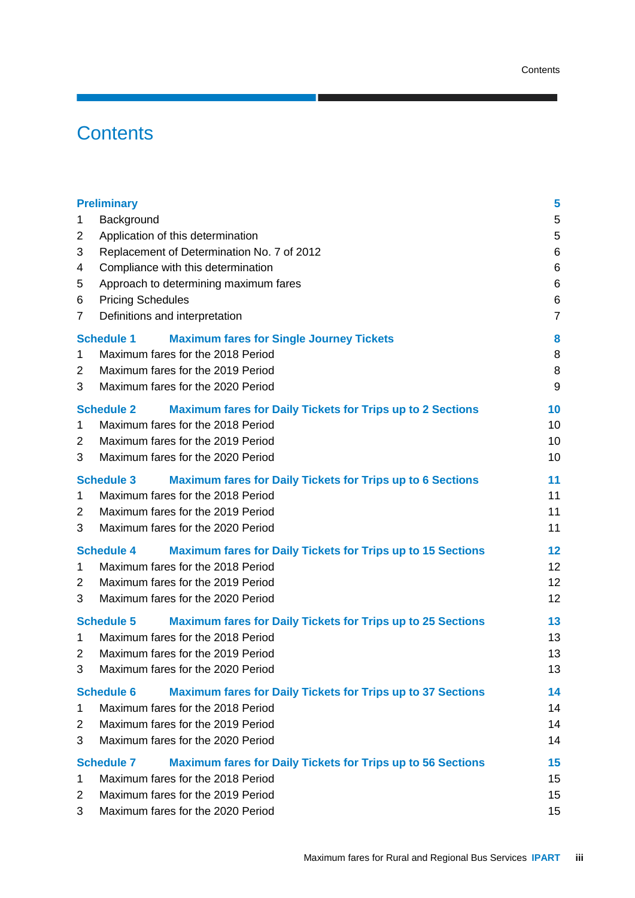## **Contents**

| <b>Preliminary</b>                                                                      | 5              |
|-----------------------------------------------------------------------------------------|----------------|
| Background<br>1                                                                         | 5              |
| Application of this determination<br>2                                                  | 5              |
| 3<br>Replacement of Determination No. 7 of 2012                                         | 6              |
| Compliance with this determination<br>4                                                 | 6              |
| Approach to determining maximum fares<br>5                                              | 6              |
| <b>Pricing Schedules</b><br>6                                                           | 6              |
| Definitions and interpretation<br>7                                                     | $\overline{7}$ |
| <b>Schedule 1</b><br><b>Maximum fares for Single Journey Tickets</b>                    | 8              |
| Maximum fares for the 2018 Period<br>1                                                  | 8              |
| Maximum fares for the 2019 Period<br>$\overline{2}$                                     | 8              |
| 3<br>Maximum fares for the 2020 Period                                                  | 9              |
| <b>Schedule 2</b><br><b>Maximum fares for Daily Tickets for Trips up to 2 Sections</b>  | 10             |
| Maximum fares for the 2018 Period<br>1                                                  | 10             |
| Maximum fares for the 2019 Period<br>2                                                  | 10             |
| Maximum fares for the 2020 Period<br>3                                                  | 10             |
| <b>Schedule 3</b><br><b>Maximum fares for Daily Tickets for Trips up to 6 Sections</b>  | 11             |
| Maximum fares for the 2018 Period<br>1                                                  | 11             |
| Maximum fares for the 2019 Period<br>2                                                  | 11             |
| 3<br>Maximum fares for the 2020 Period                                                  | 11             |
| <b>Schedule 4</b><br><b>Maximum fares for Daily Tickets for Trips up to 15 Sections</b> | 12             |
| Maximum fares for the 2018 Period<br>1                                                  | 12             |
| Maximum fares for the 2019 Period<br>2                                                  | 12             |
| 3<br>Maximum fares for the 2020 Period                                                  | 12             |
| <b>Schedule 5</b><br><b>Maximum fares for Daily Tickets for Trips up to 25 Sections</b> | 13             |
| Maximum fares for the 2018 Period<br>1                                                  | 13             |
| Maximum fares for the 2019 Period<br>2                                                  | 13             |
| 3<br>Maximum fares for the 2020 Period                                                  | 13             |
| <b>Schedule 6</b><br><b>Maximum fares for Daily Tickets for Trips up to 37 Sections</b> | 14             |
| Maximum fares for the 2018 Period<br>1                                                  | 14             |
| Maximum fares for the 2019 Period<br>2                                                  | 14             |
| Maximum fares for the 2020 Period<br>3                                                  | 14             |
| <b>Schedule 7</b><br><b>Maximum fares for Daily Tickets for Trips up to 56 Sections</b> | 15             |
| Maximum fares for the 2018 Period<br>1                                                  | 15             |
| Maximum fares for the 2019 Period<br>2                                                  | 15             |
| 3<br>Maximum fares for the 2020 Period                                                  | 15             |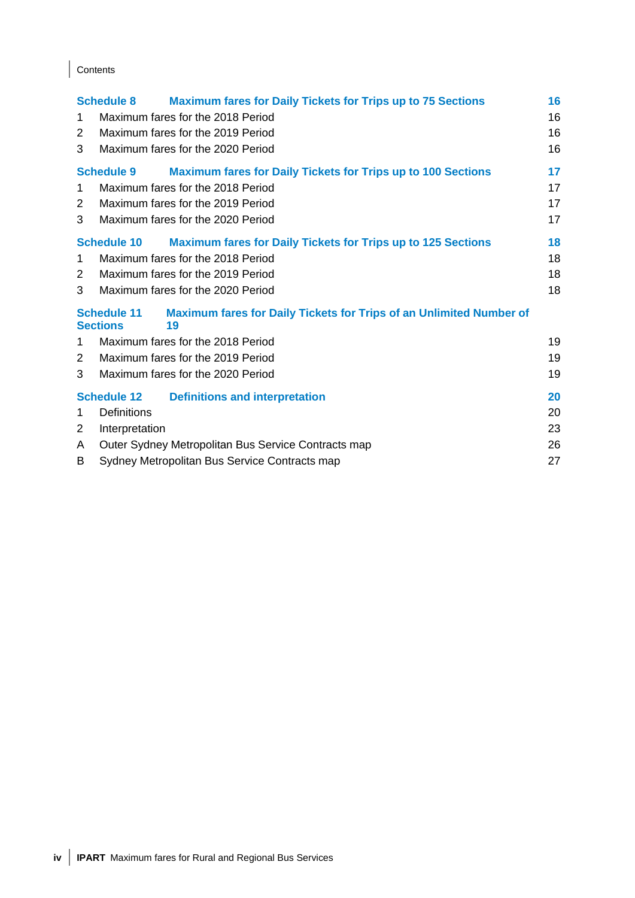### Contents

|                | <b>Schedule 8</b>                     | <b>Maximum fares for Daily Tickets for Trips up to 75 Sections</b>        | 16 |
|----------------|---------------------------------------|---------------------------------------------------------------------------|----|
| 1              |                                       | Maximum fares for the 2018 Period                                         | 16 |
| 2              |                                       | Maximum fares for the 2019 Period                                         | 16 |
| 3              |                                       | Maximum fares for the 2020 Period                                         | 16 |
|                | <b>Schedule 9</b>                     | <b>Maximum fares for Daily Tickets for Trips up to 100 Sections</b>       | 17 |
| 1              |                                       | Maximum fares for the 2018 Period                                         | 17 |
| 2              |                                       | Maximum fares for the 2019 Period                                         | 17 |
| 3              |                                       | Maximum fares for the 2020 Period                                         | 17 |
|                | <b>Schedule 10</b>                    | <b>Maximum fares for Daily Tickets for Trips up to 125 Sections</b>       | 18 |
| $\mathbf 1$    |                                       | Maximum fares for the 2018 Period                                         | 18 |
| $\overline{2}$ |                                       | Maximum fares for the 2019 Period                                         | 18 |
| 3              |                                       | Maximum fares for the 2020 Period                                         | 18 |
|                | <b>Schedule 11</b><br><b>Sections</b> | Maximum fares for Daily Tickets for Trips of an Unlimited Number of<br>19 |    |
| 1              |                                       | Maximum fares for the 2018 Period                                         | 19 |
| 2              |                                       | Maximum fares for the 2019 Period                                         | 19 |
| 3              |                                       | Maximum fares for the 2020 Period                                         | 19 |
|                | <b>Schedule 12</b>                    | <b>Definitions and interpretation</b>                                     | 20 |
| 1              | <b>Definitions</b>                    |                                                                           | 20 |
| 2              | Interpretation                        |                                                                           | 23 |
| A              |                                       | Outer Sydney Metropolitan Bus Service Contracts map                       | 26 |
| В              |                                       | Sydney Metropolitan Bus Service Contracts map                             | 27 |
|                |                                       |                                                                           |    |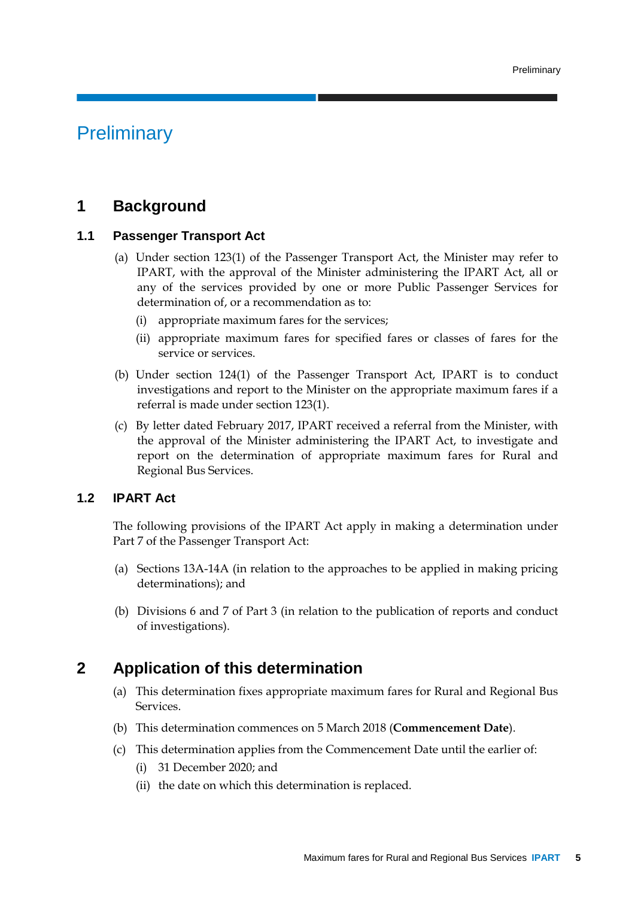### **Preliminary**

#### **1 Background**

#### **1.1 Passenger Transport Act**

- (a) Under section 123(1) of the Passenger Transport Act, the Minister may refer to IPART, with the approval of the Minister administering the IPART Act, all or any of the services provided by one or more Public Passenger Services for determination of, or a recommendation as to:
	- (i) appropriate maximum fares for the services;
	- (ii) appropriate maximum fares for specified fares or classes of fares for the service or services.
- (b) Under section 124(1) of the Passenger Transport Act, IPART is to conduct investigations and report to the Minister on the appropriate maximum fares if a referral is made under section 123(1).
- (c) By letter dated February 2017, IPART received a referral from the Minister, with the approval of the Minister administering the IPART Act, to investigate and report on the determination of appropriate maximum fares for Rural and Regional Bus Services.

#### **1.2 IPART Act**

The following provisions of the IPART Act apply in making a determination under Part 7 of the Passenger Transport Act:

- (a) Sections 13A-14A (in relation to the approaches to be applied in making pricing determinations); and
- (b) Divisions 6 and 7 of Part 3 (in relation to the publication of reports and conduct of investigations).

#### **2 Application of this determination**

- (a) This determination fixes appropriate maximum fares for Rural and Regional Bus Services.
- (b) This determination commences on 5 March 2018 (**Commencement Date**).
- (c) This determination applies from the Commencement Date until the earlier of:
	- (i) 31 December 2020; and
	- (ii) the date on which this determination is replaced.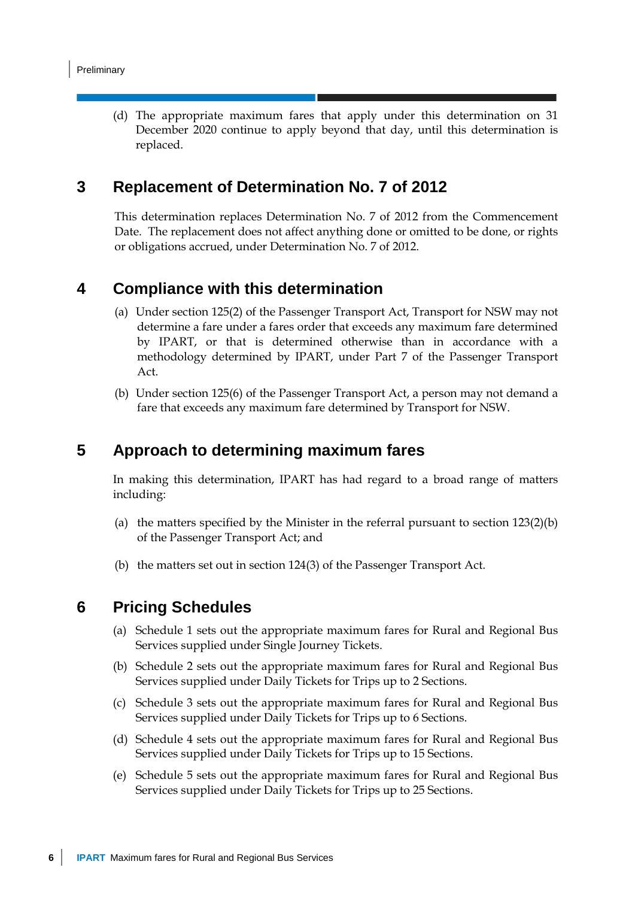(d) The appropriate maximum fares that apply under this determination on 31 December 2020 continue to apply beyond that day, until this determination is replaced.

#### **3 Replacement of Determination No. 7 of 2012**

This determination replaces Determination No. 7 of 2012 from the Commencement Date. The replacement does not affect anything done or omitted to be done, or rights or obligations accrued, under Determination No. 7 of 2012.

#### **4 Compliance with this determination**

- (a) Under section 125(2) of the Passenger Transport Act, Transport for NSW may not determine a fare under a fares order that exceeds any maximum fare determined by IPART, or that is determined otherwise than in accordance with a methodology determined by IPART, under Part 7 of the Passenger Transport Act.
- (b) Under section 125(6) of the Passenger Transport Act, a person may not demand a fare that exceeds any maximum fare determined by Transport for NSW.

#### **5 Approach to determining maximum fares**

In making this determination, IPART has had regard to a broad range of matters including:

- (a) the matters specified by the Minister in the referral pursuant to section  $123(2)(b)$ of the Passenger Transport Act; and
- (b) the matters set out in section 124(3) of the Passenger Transport Act.

#### **6 Pricing Schedules**

- (a) Schedule 1 sets out the appropriate maximum fares for Rural and Regional Bus Services supplied under Single Journey Tickets.
- (b) Schedule 2 sets out the appropriate maximum fares for Rural and Regional Bus Services supplied under Daily Tickets for Trips up to 2 Sections.
- (c) Schedule 3 sets out the appropriate maximum fares for Rural and Regional Bus Services supplied under Daily Tickets for Trips up to 6 Sections.
- (d) Schedule 4 sets out the appropriate maximum fares for Rural and Regional Bus Services supplied under Daily Tickets for Trips up to 15 Sections.
- (e) Schedule 5 sets out the appropriate maximum fares for Rural and Regional Bus Services supplied under Daily Tickets for Trips up to 25 Sections.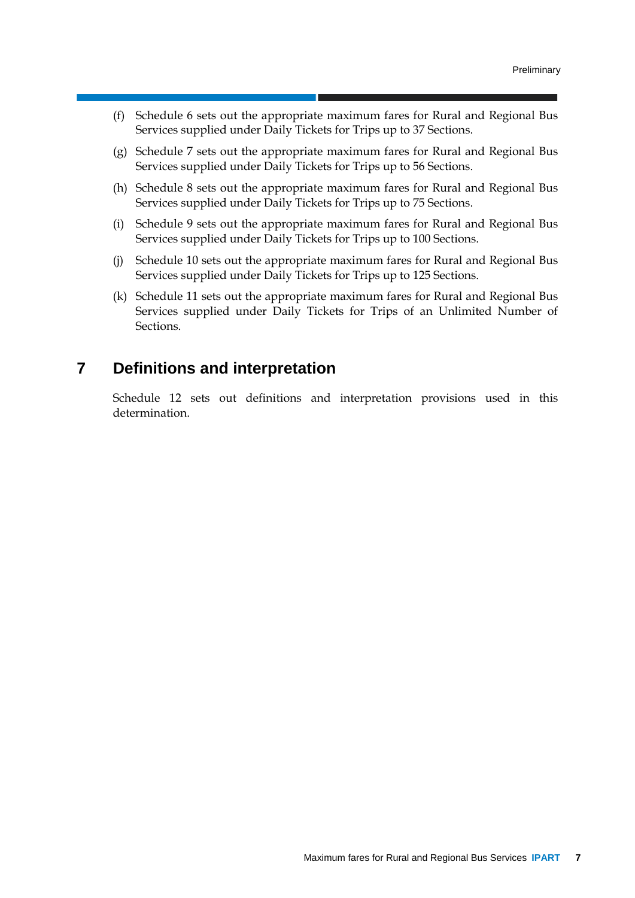- (f) Schedule 6 sets out the appropriate maximum fares for Rural and Regional Bus Services supplied under Daily Tickets for Trips up to 37 Sections.
- (g) Schedule 7 sets out the appropriate maximum fares for Rural and Regional Bus Services supplied under Daily Tickets for Trips up to 56 Sections.
- (h) Schedule 8 sets out the appropriate maximum fares for Rural and Regional Bus Services supplied under Daily Tickets for Trips up to 75 Sections.
- (i) Schedule 9 sets out the appropriate maximum fares for Rural and Regional Bus Services supplied under Daily Tickets for Trips up to 100 Sections.
- (j) Schedule 10 sets out the appropriate maximum fares for Rural and Regional Bus Services supplied under Daily Tickets for Trips up to 125 Sections.
- (k) Schedule 11 sets out the appropriate maximum fares for Rural and Regional Bus Services supplied under Daily Tickets for Trips of an Unlimited Number of Sections.

#### **7 Definitions and interpretation**

Schedule 12 sets out definitions and interpretation provisions used in this determination.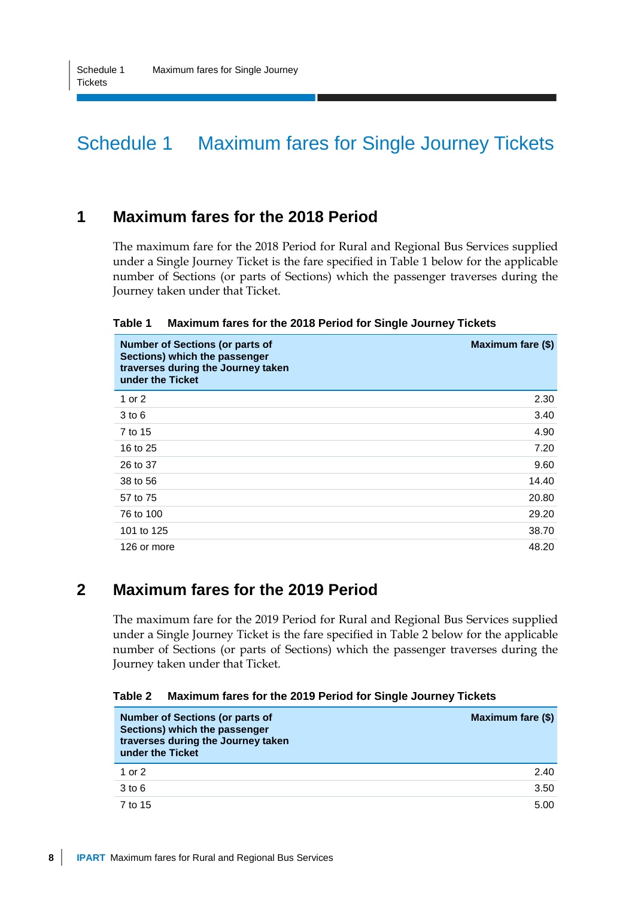## Schedule 1 Maximum fares for Single Journey Tickets

#### **1 Maximum fares for the 2018 Period**

The maximum fare for the 2018 Period for Rural and Regional Bus Services supplied under a Single Journey Ticket is the fare specified in Table 1 below for the applicable number of Sections (or parts of Sections) which the passenger traverses during the Journey taken under that Ticket.

| Table 1 | Maximum fares for the 2018 Period for Single Journey Tickets |  |
|---------|--------------------------------------------------------------|--|
|---------|--------------------------------------------------------------|--|

| <b>Number of Sections (or parts of</b><br>Sections) which the passenger<br>traverses during the Journey taken<br>under the Ticket | Maximum fare (\$) |
|-----------------------------------------------------------------------------------------------------------------------------------|-------------------|
| 1 or 2                                                                                                                            | 2.30              |
| $3$ to $6$                                                                                                                        | 3.40              |
| 7 to 15                                                                                                                           | 4.90              |
| 16 to 25                                                                                                                          | 7.20              |
| 26 to 37                                                                                                                          | 9.60              |
| 38 to 56                                                                                                                          | 14.40             |
| 57 to 75                                                                                                                          | 20.80             |
| 76 to 100                                                                                                                         | 29.20             |
| 101 to 125                                                                                                                        | 38.70             |
| 126 or more                                                                                                                       | 48.20             |

#### **2 Maximum fares for the 2019 Period**

The maximum fare for the 2019 Period for Rural and Regional Bus Services supplied under a Single Journey Ticket is the fare specified in Table 2 below for the applicable number of Sections (or parts of Sections) which the passenger traverses during the Journey taken under that Ticket.

**Table 2 Maximum fares for the 2019 Period for Single Journey Tickets**

| <b>Number of Sections (or parts of</b><br>Sections) which the passenger<br>traverses during the Journey taken<br>under the Ticket | Maximum fare (\$) |
|-----------------------------------------------------------------------------------------------------------------------------------|-------------------|
| 1 or $2$                                                                                                                          | 2.40              |
| $3$ to $6$                                                                                                                        | 3.50              |
| 7 to 15                                                                                                                           | 5.00              |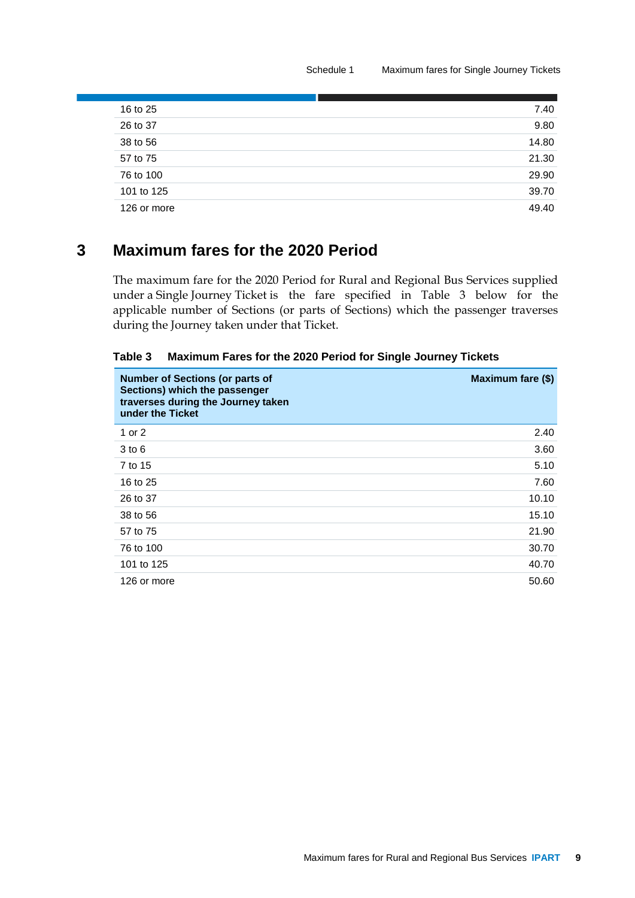| 7.40  |
|-------|
| 9.80  |
| 14.80 |
| 21.30 |
| 29.90 |
| 39.70 |
| 49.40 |
|       |

### **3 Maximum fares for the 2020 Period**

The maximum fare for the 2020 Period for Rural and Regional Bus Services supplied under a Single Journey Ticket is the fare specified in Table 3 below for the applicable number of Sections (or parts of Sections) which the passenger traverses during the Journey taken under that Ticket.

| Table 3 | <b>Maximum Fares for the 2020 Period for Single Journey Tickets</b> |  |
|---------|---------------------------------------------------------------------|--|
|---------|---------------------------------------------------------------------|--|

| <b>Number of Sections (or parts of</b><br>Sections) which the passenger<br>traverses during the Journey taken<br>under the Ticket | Maximum fare (\$) |
|-----------------------------------------------------------------------------------------------------------------------------------|-------------------|
| 1 or 2                                                                                                                            | 2.40              |
| $3$ to $6$                                                                                                                        | 3.60              |
| 7 to 15                                                                                                                           | 5.10              |
| 16 to 25                                                                                                                          | 7.60              |
| 26 to 37                                                                                                                          | 10.10             |
| 38 to 56                                                                                                                          | 15.10             |
| 57 to 75                                                                                                                          | 21.90             |
| 76 to 100                                                                                                                         | 30.70             |
| 101 to 125                                                                                                                        | 40.70             |
| 126 or more                                                                                                                       | 50.60             |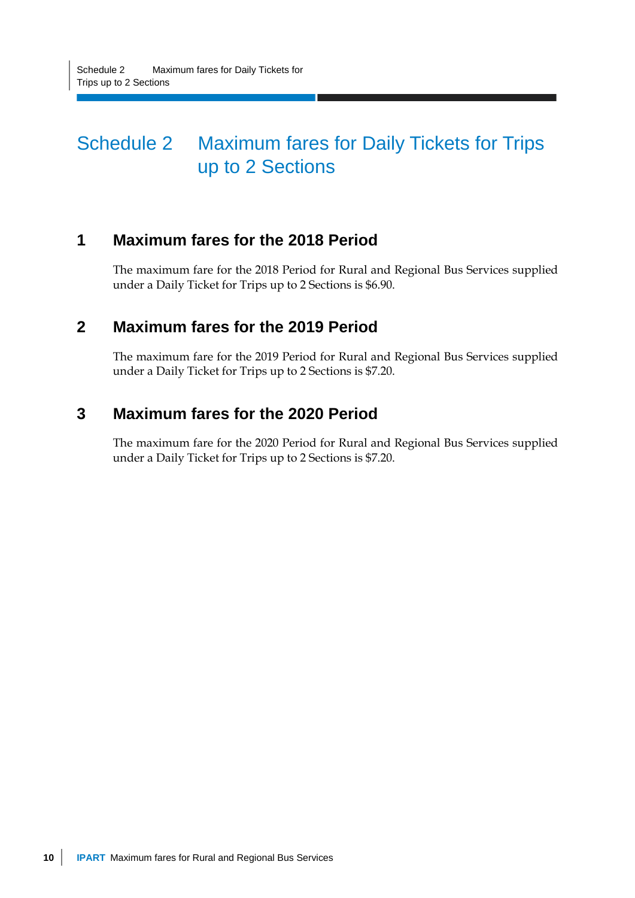## Schedule 2 Maximum fares for Daily Tickets for Trips up to 2 Sections

### **1 Maximum fares for the 2018 Period**

The maximum fare for the 2018 Period for Rural and Regional Bus Services supplied under a Daily Ticket for Trips up to 2 Sections is \$6.90.

### **2 Maximum fares for the 2019 Period**

The maximum fare for the 2019 Period for Rural and Regional Bus Services supplied under a Daily Ticket for Trips up to 2 Sections is \$7.20.

### **3 Maximum fares for the 2020 Period**

The maximum fare for the 2020 Period for Rural and Regional Bus Services supplied under a Daily Ticket for Trips up to 2 Sections is \$7.20.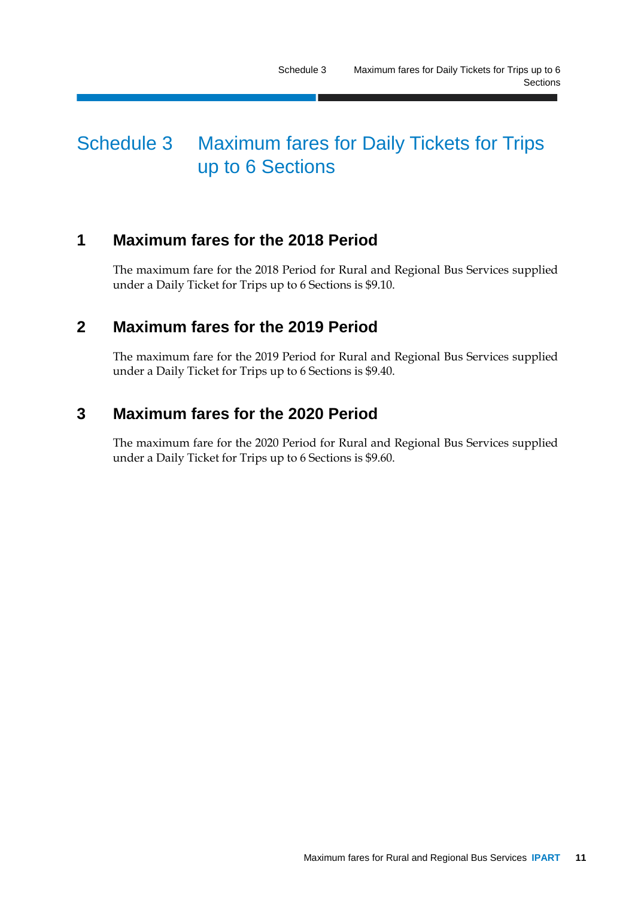### Schedule 3 Maximum fares for Daily Tickets for Trips up to 6 Sections

### **1 Maximum fares for the 2018 Period**

The maximum fare for the 2018 Period for Rural and Regional Bus Services supplied under a Daily Ticket for Trips up to 6 Sections is \$9.10.

### **2 Maximum fares for the 2019 Period**

The maximum fare for the 2019 Period for Rural and Regional Bus Services supplied under a Daily Ticket for Trips up to 6 Sections is \$9.40.

### **3 Maximum fares for the 2020 Period**

The maximum fare for the 2020 Period for Rural and Regional Bus Services supplied under a Daily Ticket for Trips up to 6 Sections is \$9.60.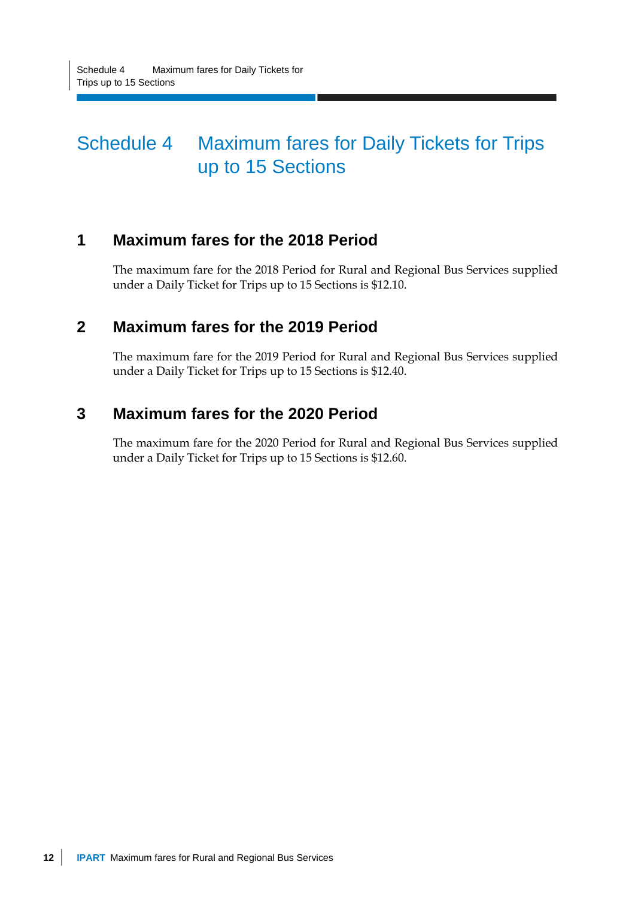## Schedule 4 Maximum fares for Daily Tickets for Trips up to 15 Sections

### **1 Maximum fares for the 2018 Period**

The maximum fare for the 2018 Period for Rural and Regional Bus Services supplied under a Daily Ticket for Trips up to 15 Sections is \$12.10.

### **2 Maximum fares for the 2019 Period**

The maximum fare for the 2019 Period for Rural and Regional Bus Services supplied under a Daily Ticket for Trips up to 15 Sections is \$12.40.

### **3 Maximum fares for the 2020 Period**

The maximum fare for the 2020 Period for Rural and Regional Bus Services supplied under a Daily Ticket for Trips up to 15 Sections is \$12.60.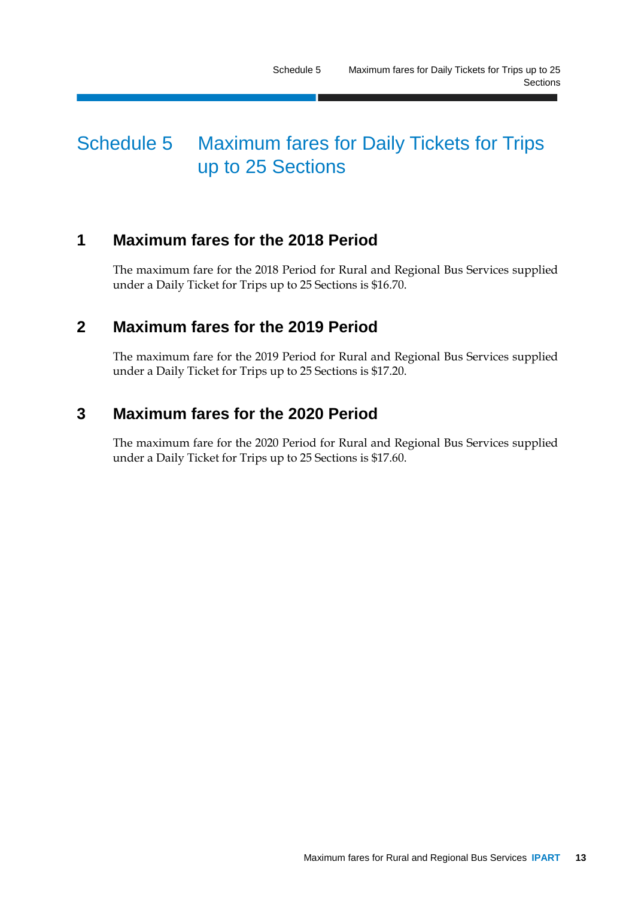## Schedule 5 Maximum fares for Daily Tickets for Trips up to 25 Sections

### **1 Maximum fares for the 2018 Period**

The maximum fare for the 2018 Period for Rural and Regional Bus Services supplied under a Daily Ticket for Trips up to 25 Sections is \$16.70.

### **2 Maximum fares for the 2019 Period**

The maximum fare for the 2019 Period for Rural and Regional Bus Services supplied under a Daily Ticket for Trips up to 25 Sections is \$17.20.

### **3 Maximum fares for the 2020 Period**

The maximum fare for the 2020 Period for Rural and Regional Bus Services supplied under a Daily Ticket for Trips up to 25 Sections is \$17.60.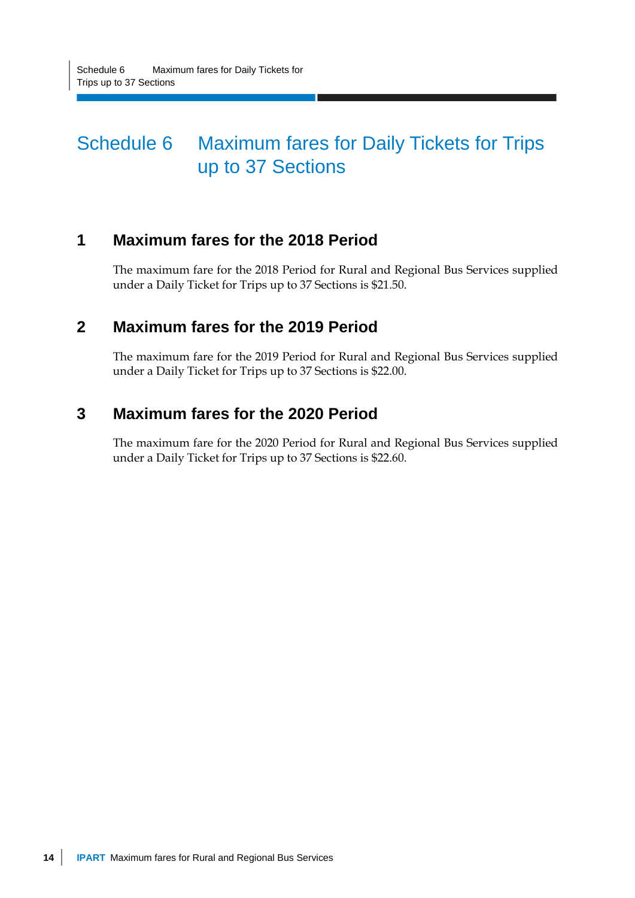## Schedule 6 Maximum fares for Daily Tickets for Trips up to 37 Sections

### **1 Maximum fares for the 2018 Period**

The maximum fare for the 2018 Period for Rural and Regional Bus Services supplied under a Daily Ticket for Trips up to 37 Sections is \$21.50.

### **2 Maximum fares for the 2019 Period**

The maximum fare for the 2019 Period for Rural and Regional Bus Services supplied under a Daily Ticket for Trips up to 37 Sections is \$22.00.

### **3 Maximum fares for the 2020 Period**

The maximum fare for the 2020 Period for Rural and Regional Bus Services supplied under a Daily Ticket for Trips up to 37 Sections is \$22.60.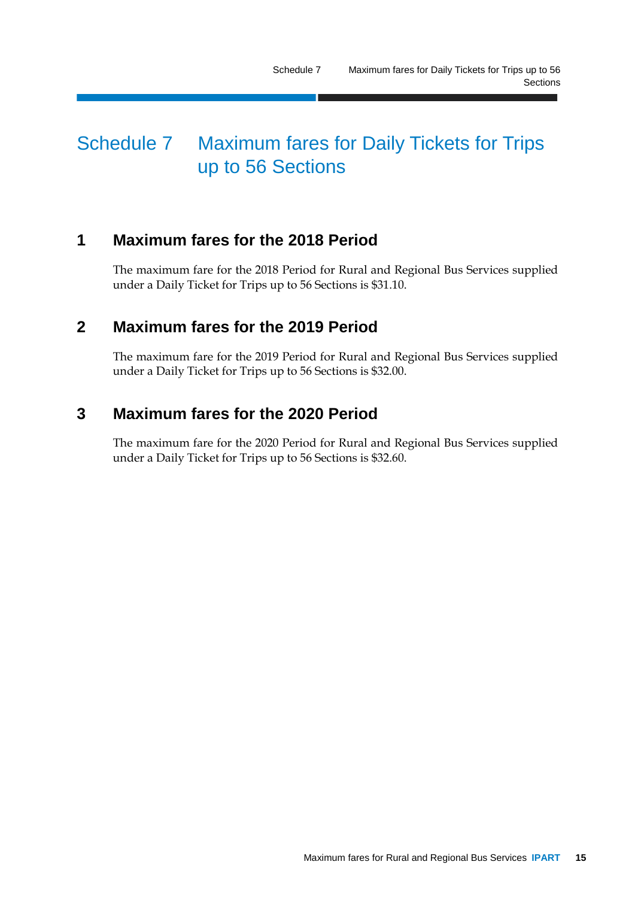## Schedule 7 Maximum fares for Daily Tickets for Trips up to 56 Sections

### **1 Maximum fares for the 2018 Period**

The maximum fare for the 2018 Period for Rural and Regional Bus Services supplied under a Daily Ticket for Trips up to 56 Sections is \$31.10.

### **2 Maximum fares for the 2019 Period**

The maximum fare for the 2019 Period for Rural and Regional Bus Services supplied under a Daily Ticket for Trips up to 56 Sections is \$32.00.

### **3 Maximum fares for the 2020 Period**

The maximum fare for the 2020 Period for Rural and Regional Bus Services supplied under a Daily Ticket for Trips up to 56 Sections is \$32.60.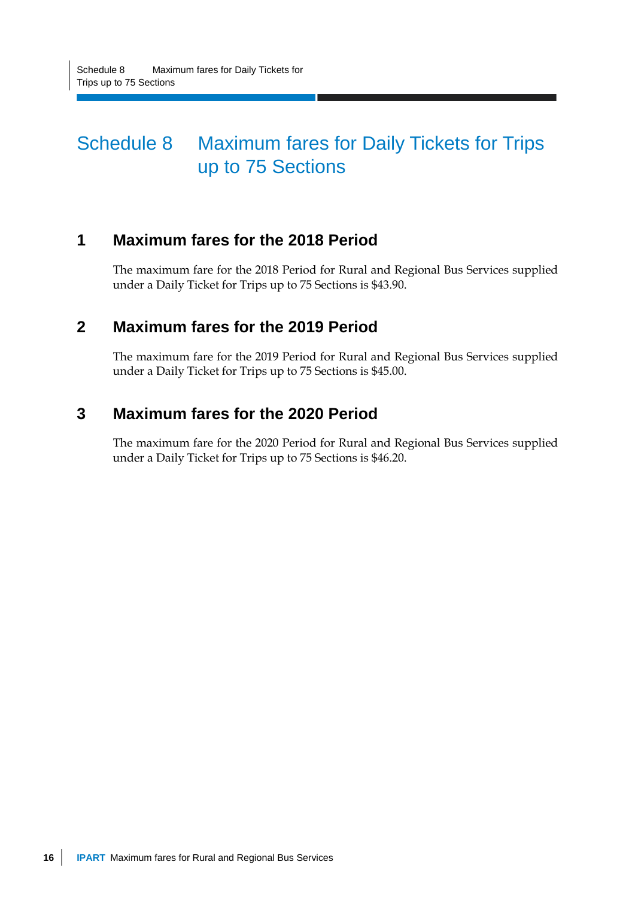## Schedule 8 Maximum fares for Daily Tickets for Trips up to 75 Sections

### **1 Maximum fares for the 2018 Period**

The maximum fare for the 2018 Period for Rural and Regional Bus Services supplied under a Daily Ticket for Trips up to 75 Sections is \$43.90.

### **2 Maximum fares for the 2019 Period**

The maximum fare for the 2019 Period for Rural and Regional Bus Services supplied under a Daily Ticket for Trips up to 75 Sections is \$45.00.

### **3 Maximum fares for the 2020 Period**

The maximum fare for the 2020 Period for Rural and Regional Bus Services supplied under a Daily Ticket for Trips up to 75 Sections is \$46.20.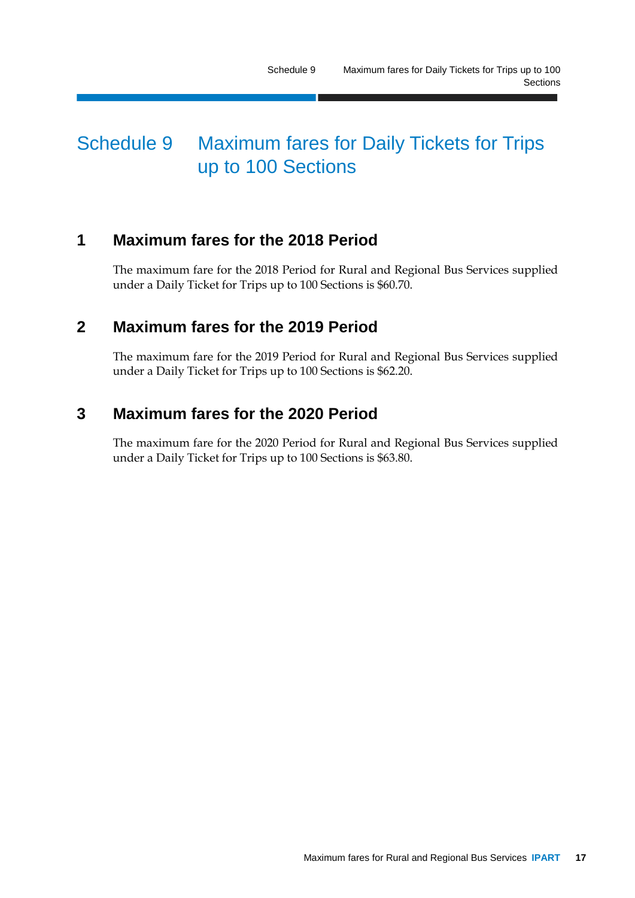## Schedule 9 Maximum fares for Daily Tickets for Trips up to 100 Sections

### **1 Maximum fares for the 2018 Period**

The maximum fare for the 2018 Period for Rural and Regional Bus Services supplied under a Daily Ticket for Trips up to 100 Sections is \$60.70.

### **2 Maximum fares for the 2019 Period**

The maximum fare for the 2019 Period for Rural and Regional Bus Services supplied under a Daily Ticket for Trips up to 100 Sections is \$62.20.

### **3 Maximum fares for the 2020 Period**

The maximum fare for the 2020 Period for Rural and Regional Bus Services supplied under a Daily Ticket for Trips up to 100 Sections is \$63.80.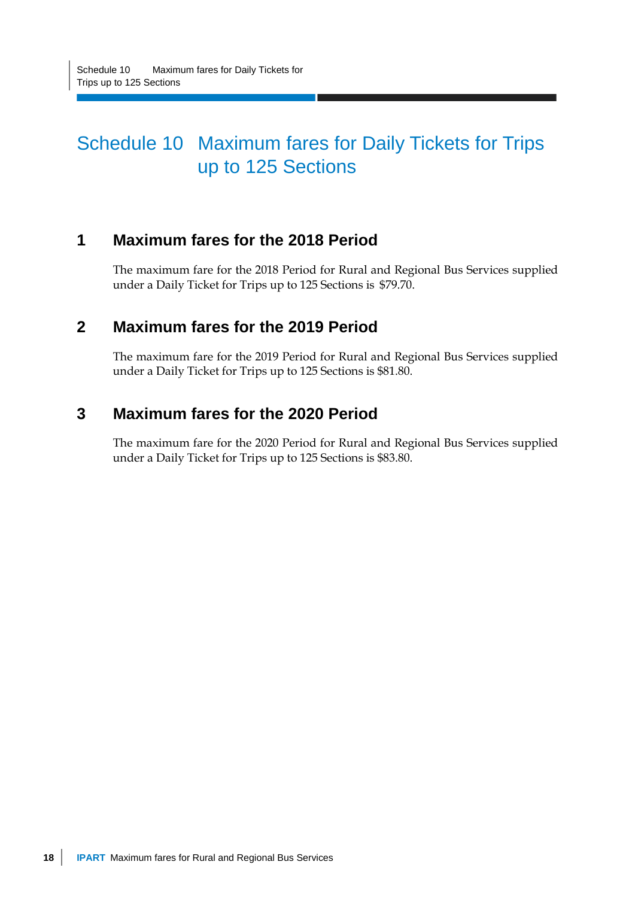## Schedule 10 Maximum fares for Daily Tickets for Trips up to 125 Sections

### **1 Maximum fares for the 2018 Period**

The maximum fare for the 2018 Period for Rural and Regional Bus Services supplied under a Daily Ticket for Trips up to 125 Sections is \$79.70.

### **2 Maximum fares for the 2019 Period**

The maximum fare for the 2019 Period for Rural and Regional Bus Services supplied under a Daily Ticket for Trips up to 125 Sections is \$81.80.

### **3 Maximum fares for the 2020 Period**

The maximum fare for the 2020 Period for Rural and Regional Bus Services supplied under a Daily Ticket for Trips up to 125 Sections is \$83.80.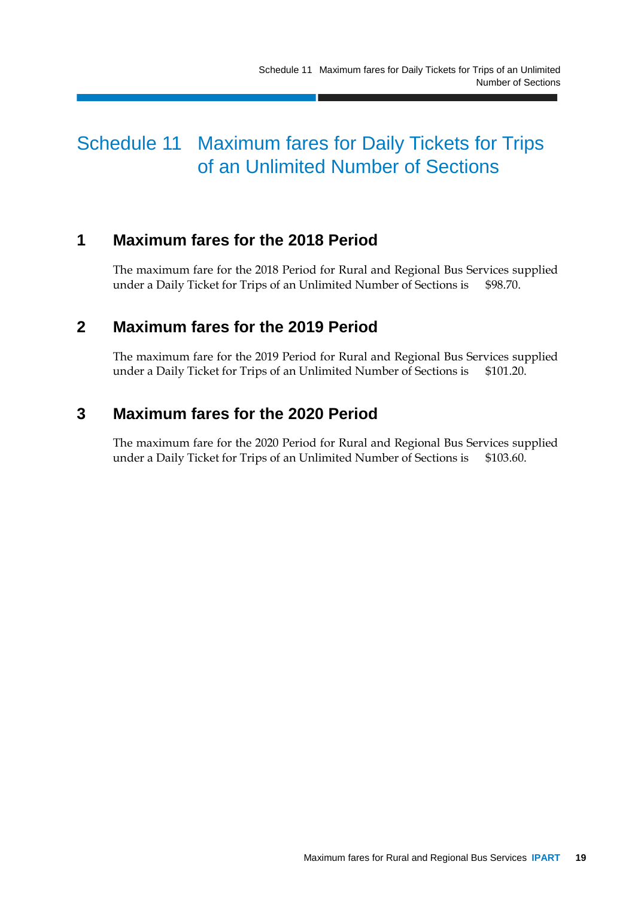### Schedule 11 Maximum fares for Daily Tickets for Trips of an Unlimited Number of Sections

### **1 Maximum fares for the 2018 Period**

The maximum fare for the 2018 Period for Rural and Regional Bus Services supplied under a Daily Ticket for Trips of an Unlimited Number of Sections is \$98.70.

### **2 Maximum fares for the 2019 Period**

The maximum fare for the 2019 Period for Rural and Regional Bus Services supplied under a Daily Ticket for Trips of an Unlimited Number of Sections is \$101.20.

### **3 Maximum fares for the 2020 Period**

The maximum fare for the 2020 Period for Rural and Regional Bus Services supplied under a Daily Ticket for Trips of an Unlimited Number of Sections is \$103.60.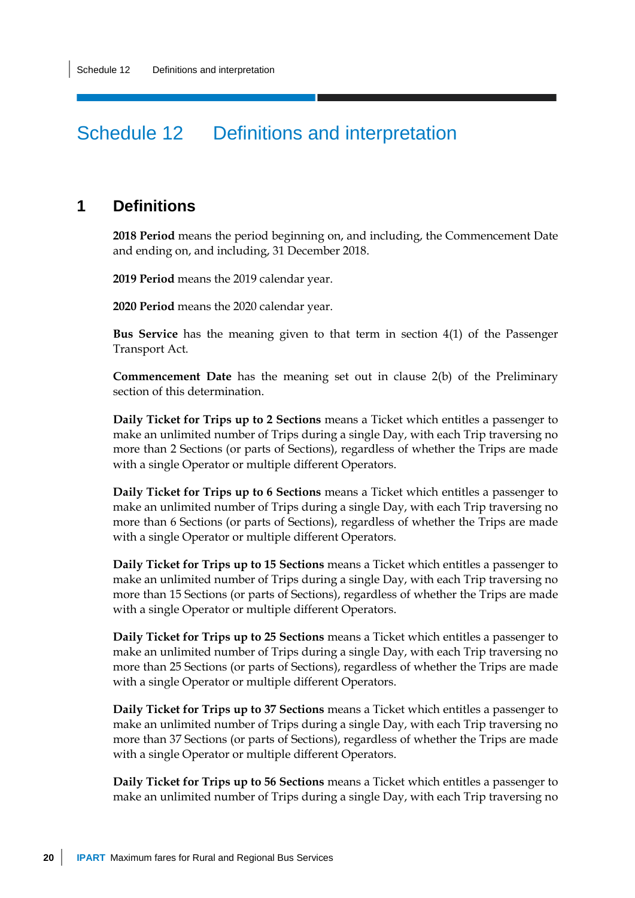### Schedule 12 Definitions and interpretation

#### **1 Definitions**

**2018 Period** means the period beginning on, and including, the Commencement Date and ending on, and including, 31 December 2018.

**2019 Period** means the 2019 calendar year.

**2020 Period** means the 2020 calendar year.

**Bus Service** has the meaning given to that term in section 4(1) of the Passenger Transport Act.

**Commencement Date** has the meaning set out in clause 2(b) of the Preliminary section of this determination.

**Daily Ticket for Trips up to 2 Sections** means a Ticket which entitles a passenger to make an unlimited number of Trips during a single Day, with each Trip traversing no more than 2 Sections (or parts of Sections), regardless of whether the Trips are made with a single Operator or multiple different Operators.

**Daily Ticket for Trips up to 6 Sections** means a Ticket which entitles a passenger to make an unlimited number of Trips during a single Day, with each Trip traversing no more than 6 Sections (or parts of Sections), regardless of whether the Trips are made with a single Operator or multiple different Operators.

**Daily Ticket for Trips up to 15 Sections** means a Ticket which entitles a passenger to make an unlimited number of Trips during a single Day, with each Trip traversing no more than 15 Sections (or parts of Sections), regardless of whether the Trips are made with a single Operator or multiple different Operators.

**Daily Ticket for Trips up to 25 Sections** means a Ticket which entitles a passenger to make an unlimited number of Trips during a single Day, with each Trip traversing no more than 25 Sections (or parts of Sections), regardless of whether the Trips are made with a single Operator or multiple different Operators.

**Daily Ticket for Trips up to 37 Sections** means a Ticket which entitles a passenger to make an unlimited number of Trips during a single Day, with each Trip traversing no more than 37 Sections (or parts of Sections), regardless of whether the Trips are made with a single Operator or multiple different Operators.

**Daily Ticket for Trips up to 56 Sections** means a Ticket which entitles a passenger to make an unlimited number of Trips during a single Day, with each Trip traversing no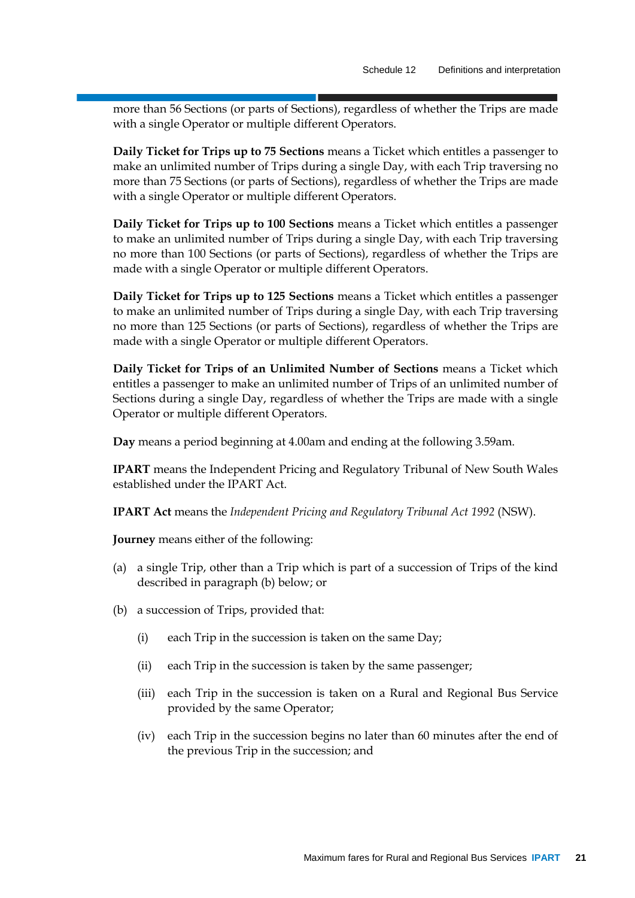more than 56 Sections (or parts of Sections), regardless of whether the Trips are made with a single Operator or multiple different Operators.

**Daily Ticket for Trips up to 75 Sections** means a Ticket which entitles a passenger to make an unlimited number of Trips during a single Day, with each Trip traversing no more than 75 Sections (or parts of Sections), regardless of whether the Trips are made with a single Operator or multiple different Operators.

**Daily Ticket for Trips up to 100 Sections** means a Ticket which entitles a passenger to make an unlimited number of Trips during a single Day, with each Trip traversing no more than 100 Sections (or parts of Sections), regardless of whether the Trips are made with a single Operator or multiple different Operators.

**Daily Ticket for Trips up to 125 Sections** means a Ticket which entitles a passenger to make an unlimited number of Trips during a single Day, with each Trip traversing no more than 125 Sections (or parts of Sections), regardless of whether the Trips are made with a single Operator or multiple different Operators.

**Daily Ticket for Trips of an Unlimited Number of Sections** means a Ticket which entitles a passenger to make an unlimited number of Trips of an unlimited number of Sections during a single Day, regardless of whether the Trips are made with a single Operator or multiple different Operators.

**Day** means a period beginning at 4.00am and ending at the following 3.59am.

**IPART** means the Independent Pricing and Regulatory Tribunal of New South Wales established under the IPART Act.

**IPART Act** means the *Independent Pricing and Regulatory Tribunal Act 1992* (NSW).

**Journey** means either of the following:

- (a) a single Trip, other than a Trip which is part of a succession of Trips of the kind described in paragraph (b) below; or
- (b) a succession of Trips, provided that:
	- (i) each Trip in the succession is taken on the same Day;
	- (ii) each Trip in the succession is taken by the same passenger;
	- (iii) each Trip in the succession is taken on a Rural and Regional Bus Service provided by the same Operator;
	- (iv) each Trip in the succession begins no later than 60 minutes after the end of the previous Trip in the succession; and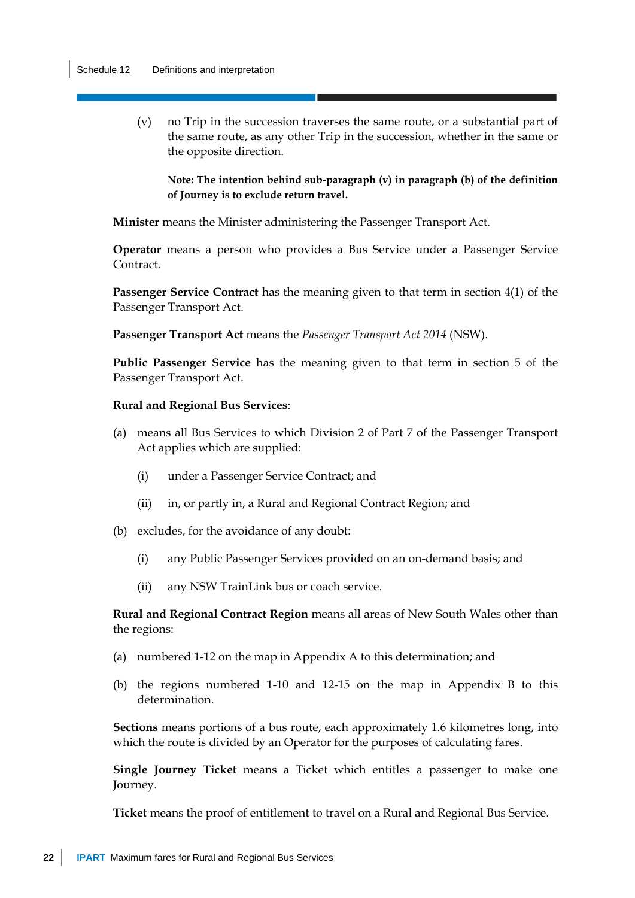(v) no Trip in the succession traverses the same route, or a substantial part of the same route, as any other Trip in the succession, whether in the same or the opposite direction.

**Note: The intention behind sub-paragraph (v) in paragraph (b) of the definition of Journey is to exclude return travel.**

**Minister** means the Minister administering the Passenger Transport Act.

**Operator** means a person who provides a Bus Service under a Passenger Service Contract*.*

**Passenger Service Contract** has the meaning given to that term in section 4(1) of the Passenger Transport Act.

**Passenger Transport Act** means the *Passenger Transport Act 2014* (NSW).

**Public Passenger Service** has the meaning given to that term in section 5 of the Passenger Transport Act.

#### **Rural and Regional Bus Services**:

- (a) means all Bus Services to which Division 2 of Part 7 of the Passenger Transport Act applies which are supplied:
	- (i) under a Passenger Service Contract; and
	- (ii) in, or partly in, a Rural and Regional Contract Region; and
- (b) excludes, for the avoidance of any doubt:
	- (i) any Public Passenger Services provided on an on-demand basis; and
	- (ii) any NSW TrainLink bus or coach service.

**Rural and Regional Contract Region** means all areas of New South Wales other than the regions:

- (a) numbered 1-12 on the map in Appendix A to this determination; and
- (b) the regions numbered 1-10 and 12-15 on the map in Appendix B to this determination.

**Sections** means portions of a bus route, each approximately 1.6 kilometres long, into which the route is divided by an Operator for the purposes of calculating fares.

**Single Journey Ticket** means a Ticket which entitles a passenger to make one Journey.

**Ticket** means the proof of entitlement to travel on a Rural and Regional Bus Service.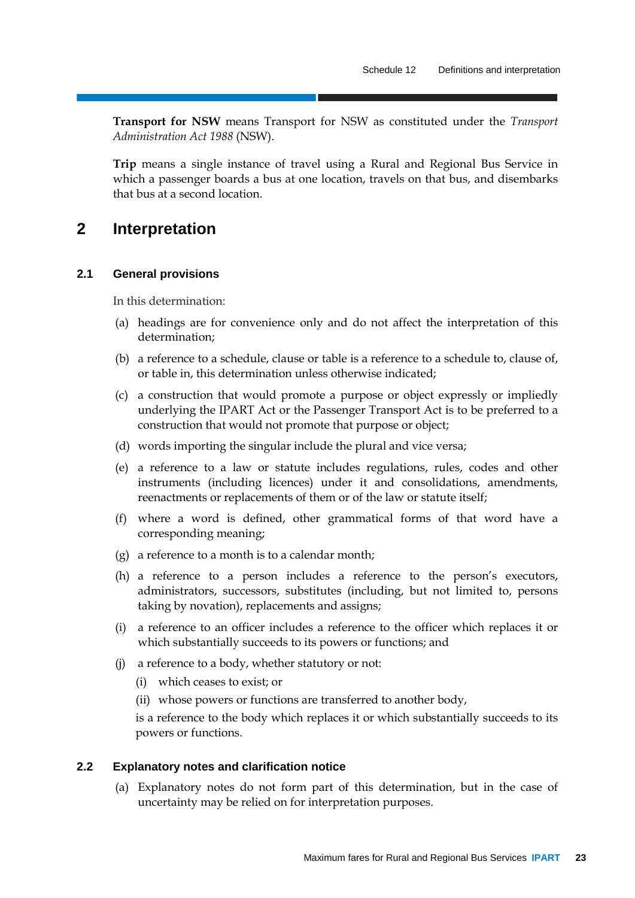**Transport for NSW** means Transport for NSW as constituted under the *Transport Administration Act 1988* (NSW).

**Trip** means a single instance of travel using a Rural and Regional Bus Service in which a passenger boards a bus at one location, travels on that bus, and disembarks that bus at a second location.

#### **2 Interpretation**

#### **2.1 General provisions**

In this determination:

- (a) headings are for convenience only and do not affect the interpretation of this determination;
- (b) a reference to a schedule, clause or table is a reference to a schedule to, clause of, or table in, this determination unless otherwise indicated;
- (c) a construction that would promote a purpose or object expressly or impliedly underlying the IPART Act or the Passenger Transport Act is to be preferred to a construction that would not promote that purpose or object;
- (d) words importing the singular include the plural and vice versa;
- (e) a reference to a law or statute includes regulations, rules, codes and other instruments (including licences) under it and consolidations, amendments, reenactments or replacements of them or of the law or statute itself;
- (f) where a word is defined, other grammatical forms of that word have a corresponding meaning;
- (g) a reference to a month is to a calendar month;
- (h) a reference to a person includes a reference to the person's executors, administrators, successors, substitutes (including, but not limited to, persons taking by novation), replacements and assigns;
- (i) a reference to an officer includes a reference to the officer which replaces it or which substantially succeeds to its powers or functions; and
- (j) a reference to a body, whether statutory or not:
	- (i) which ceases to exist; or
	- (ii) whose powers or functions are transferred to another body,

is a reference to the body which replaces it or which substantially succeeds to its powers or functions.

#### **2.2 Explanatory notes and clarification notice**

(a) Explanatory notes do not form part of this determination, but in the case of uncertainty may be relied on for interpretation purposes.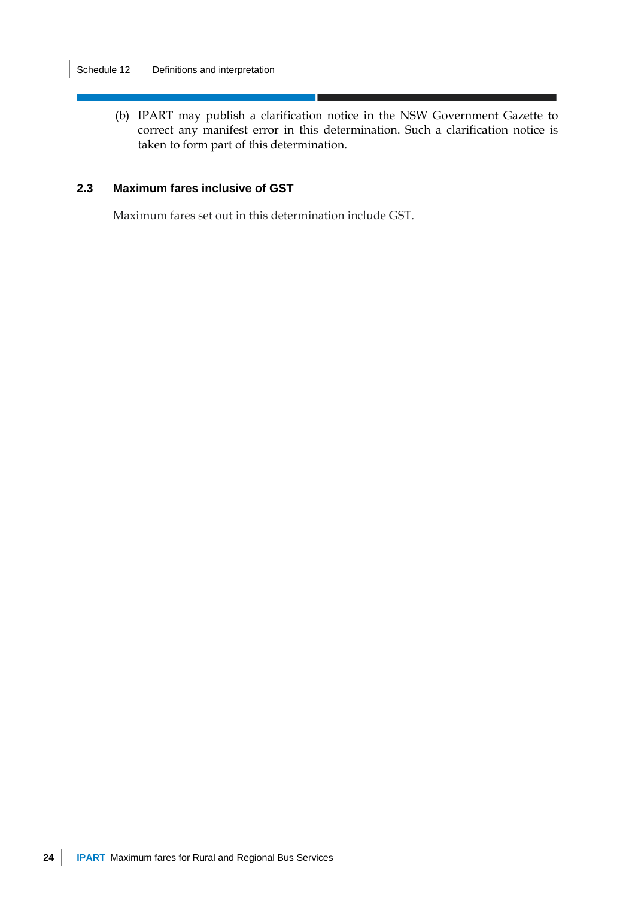(b) IPART may publish a clarification notice in the NSW Government Gazette to correct any manifest error in this determination. Such a clarification notice is taken to form part of this determination.

#### **2.3 Maximum fares inclusive of GST**

Maximum fares set out in this determination include GST.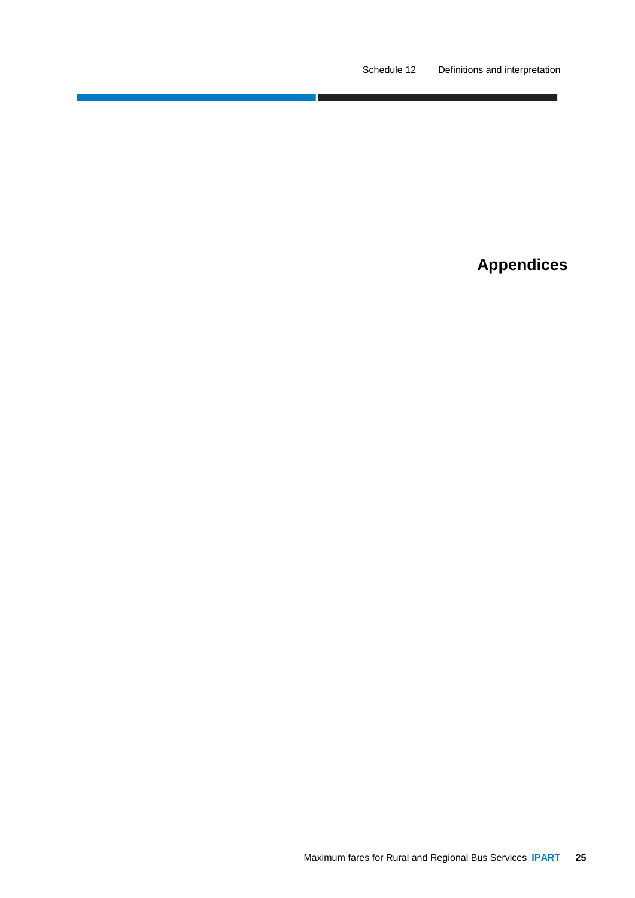**Appendices**

٦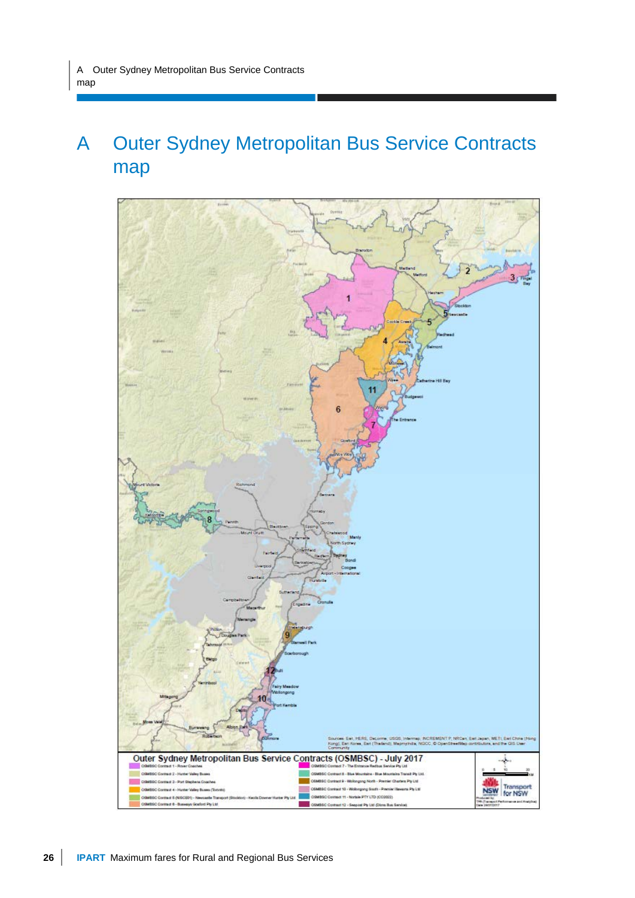## A Outer Sydney Metropolitan Bus Service Contracts map